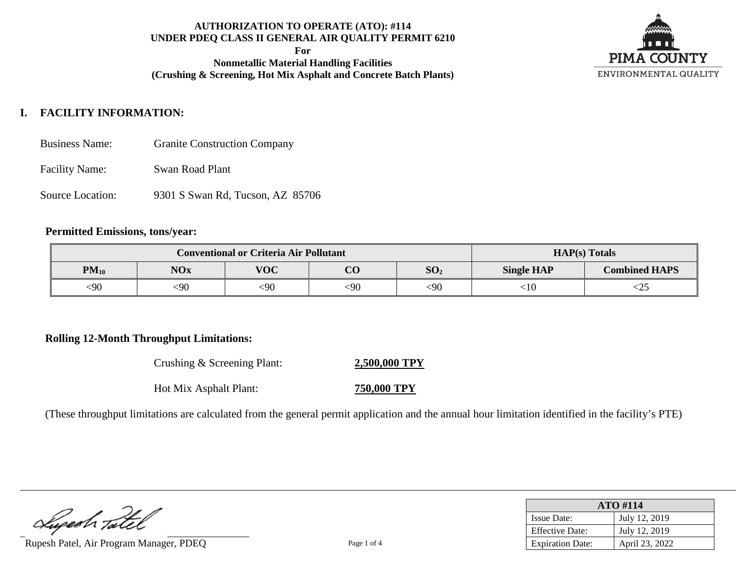**For**

**Nonmetallic Material Handling Facilities (Crushing & Screening, Hot Mix Asphalt and Concrete Batch Plants)**



# **I. FACILITY INFORMATION:**

- Business Name: Granite Construction Company
- Facility Name: Swan Road Plant
- Source Location: 9301 S Swan Rd, Tucson, AZ 85706

## **Permitted Emissions, tons/year:**

|           | <b>Conventional or Criteria Air Pollutant</b> | $HAP(s)$ Totals |          |                 |                   |                      |
|-----------|-----------------------------------------------|-----------------|----------|-----------------|-------------------|----------------------|
| $PM_{10}$ | <b>NOx</b>                                    | <b>VOC</b>      | $\Omega$ | SO <sub>2</sub> | <b>Single HAP</b> | <b>Combined HAPS</b> |
| <90       | 590                                           | $90$            | <90      | $90$            | :10               | $<$ 25               |

## **Rolling 12-Month Throughput Limitations:**

Crushing & Screening Plant: **2,500,000 TPY** Hot Mix Asphalt Plant: **750,000 TPY**

(These throughput limitations are calculated from the general permit application and the annual hour limitation identified in the facility's PTE)

Luperh Tatel

Rupesh Patel, Air Program Manager, PDEO Page 1 of 4

| <b>ATO #114</b>         |                |  |  |
|-------------------------|----------------|--|--|
| <b>Issue Date:</b>      | July 12, 2019  |  |  |
| <b>Effective Date:</b>  | July 12, 2019  |  |  |
| <b>Expiration Date:</b> | April 23, 2022 |  |  |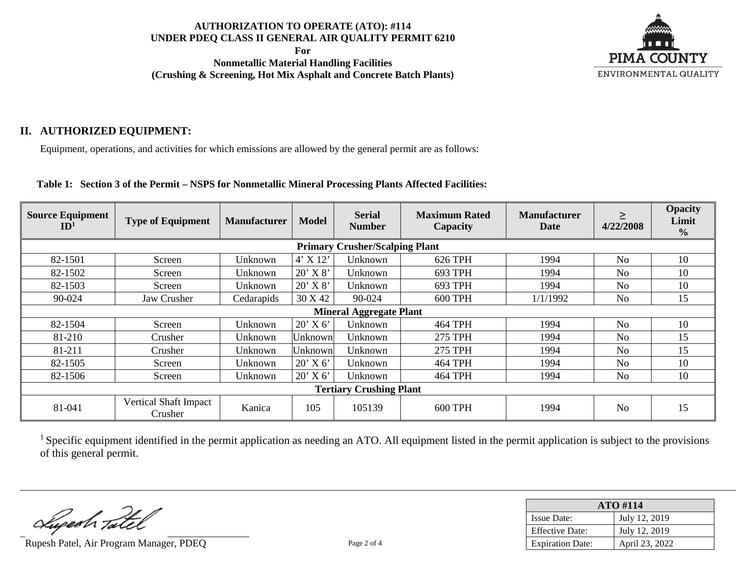**For**

**Nonmetallic Material Handling Facilities (Crushing & Screening, Hot Mix Asphalt and Concrete Batch Plants)**



## **II. AUTHORIZED EQUIPMENT:**

Equipment, operations, and activities for which emissions are allowed by the general permit are as follows:

#### **Table 1: Section 3 of the Permit – NSPS for Nonmetallic Mineral Processing Plants Affected Facilities:**

| <b>Source Equipment</b><br>ID <sup>1</sup> | <b>Type of Equipment</b>              | <b>Manufacturer</b> | <b>Model</b> | <b>Serial</b><br><b>Number</b> | <b>Maximum Rated</b><br>Capacity | <b>Manufacturer</b><br>Date | $\geq$<br>4/22/2008 | <b>Opacity</b><br>Limit<br>$\frac{0}{0}$ |  |  |
|--------------------------------------------|---------------------------------------|---------------------|--------------|--------------------------------|----------------------------------|-----------------------------|---------------------|------------------------------------------|--|--|
|                                            | <b>Primary Crusher/Scalping Plant</b> |                     |              |                                |                                  |                             |                     |                                          |  |  |
| 82-1501                                    | Screen                                | Unknown             | $4'$ X 12'   | Unknown                        | 626 TPH                          | 1994                        | No                  | 10                                       |  |  |
| 82-1502                                    | Screen                                | Unknown             | $20'$ X $8'$ | Unknown                        | 693 TPH                          | 1994                        | N <sub>0</sub>      | 10                                       |  |  |
| 82-1503                                    | Screen                                | Unknown             | $20'$ X $8'$ | Unknown                        | 693 TPH                          | 1994                        | No                  | 10                                       |  |  |
| 90-024                                     | Jaw Crusher                           | Cedarapids          | 30 X 42      | 90-024                         | <b>600 TPH</b>                   | 1/1/1992                    | N <sub>o</sub>      | 15                                       |  |  |
| <b>Mineral Aggregate Plant</b>             |                                       |                     |              |                                |                                  |                             |                     |                                          |  |  |
| 82-1504                                    | Screen                                | Unknown             | $20'$ X 6'   | Unknown                        | <b>464 TPH</b>                   | 1994                        | No                  | 10                                       |  |  |
| 81-210                                     | Crusher                               | Unknown             | Unknown      | Unknown                        | 275 TPH                          | 1994                        | No                  | 15                                       |  |  |
| 81-211                                     | Crusher                               | Unknown             | Unknown      | Unknown                        | <b>275 TPH</b>                   | 1994                        | N <sub>0</sub>      | 15                                       |  |  |
| 82-1505                                    | Screen                                | Unknown             | $20'$ X 6'   | Unknown                        | <b>464 TPH</b>                   | 1994                        | N <sub>o</sub>      | 10                                       |  |  |
| 82-1506                                    | Screen                                | Unknown             | $20'$ X 6'   | Unknown                        | <b>464 TPH</b>                   | 1994                        | N <sub>0</sub>      | 10                                       |  |  |
| <b>Tertiary Crushing Plant</b>             |                                       |                     |              |                                |                                  |                             |                     |                                          |  |  |
| 81-041                                     | Vertical Shaft Impact<br>Crusher      | Kanica              | 105          | 105139                         | <b>600 TPH</b>                   | 1994                        | No                  | 15                                       |  |  |

<sup>1</sup> Specific equipment identified in the permit application as needing an ATO. All equipment listed in the permit application is subject to the provisions of this general permit.

Superh Tatel

Rupesh Patel, Air Program Manager, PDEQ Page 2 of 4

| <b>ATO#114</b>          |                |  |  |
|-------------------------|----------------|--|--|
| <b>Issue Date:</b>      | July 12, 2019  |  |  |
| <b>Effective Date:</b>  | July 12, 2019  |  |  |
| <b>Expiration Date:</b> | April 23, 2022 |  |  |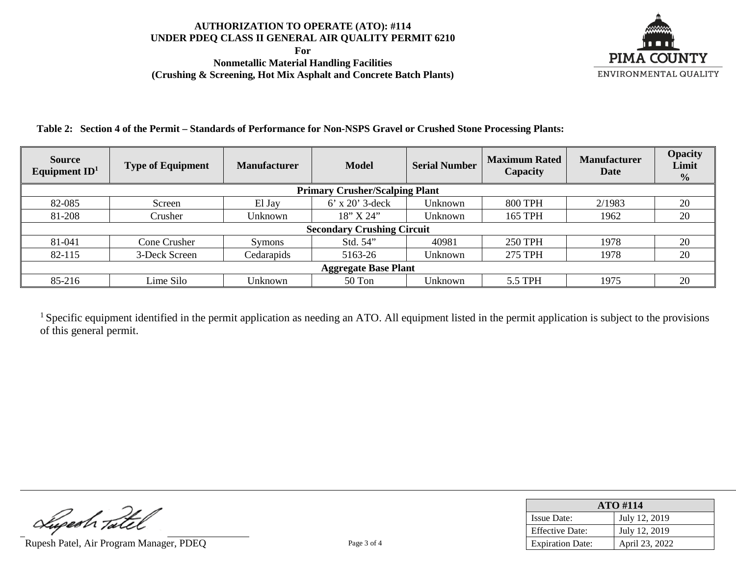**For**

**Nonmetallic Material Handling Facilities (Crushing & Screening, Hot Mix Asphalt and Concrete Batch Plants)**



**Table 2: Section 4 of the Permit – Standards of Performance for Non-NSPS Gravel or Crushed Stone Processing Plants:**

| <b>Source</b><br>Equipment $ID1$ | <b>Type of Equipment</b>              | <b>Manufacturer</b> | <b>Model</b>      | <b>Serial Number</b> | <b>Maximum Rated</b><br>Capacity | <b>Manufacturer</b><br>Date | <b>Opacity</b><br>Limit<br>$\frac{0}{0}$ |  |
|----------------------------------|---------------------------------------|---------------------|-------------------|----------------------|----------------------------------|-----------------------------|------------------------------------------|--|
|                                  | <b>Primary Crusher/Scalping Plant</b> |                     |                   |                      |                                  |                             |                                          |  |
| 82-085                           | Screen                                | El Jay              | $6'$ x 20' 3-deck | Unknown              | <b>800 TPH</b>                   | 2/1983                      | 20                                       |  |
| 81-208                           | Crusher                               | Unknown             | 18'' X 24''       | Unknown              | 165 TPH                          | 1962                        | 20                                       |  |
|                                  | <b>Secondary Crushing Circuit</b>     |                     |                   |                      |                                  |                             |                                          |  |
| 81-041                           | Cone Crusher                          | <b>Symons</b>       | Std. 54"          | 40981                | <b>250 TPH</b>                   | 1978                        | 20                                       |  |
| 82-115                           | 3-Deck Screen                         | Cedarapids          | 5163-26           | Unknown              | <b>275 TPH</b>                   | 1978                        | 20                                       |  |
| <b>Aggregate Base Plant</b>      |                                       |                     |                   |                      |                                  |                             |                                          |  |
| 85-216                           | Lime Silo                             | Unknown             | 50 Ton            | Unknown              | 5.5 TPH                          | 1975                        | 20                                       |  |

<sup>1</sup> Specific equipment identified in the permit application as needing an ATO. All equipment listed in the permit application is subject to the provisions of this general permit.

Rupesh Tatel<br>Rupesh Patel, Air Program Manager, PDEQ Page 3 of 4

| <b>ATO#114</b>          |                |  |  |
|-------------------------|----------------|--|--|
| <b>Issue Date:</b>      | July 12, 2019  |  |  |
| <b>Effective Date:</b>  | July 12, 2019  |  |  |
| <b>Expiration Date:</b> | April 23, 2022 |  |  |